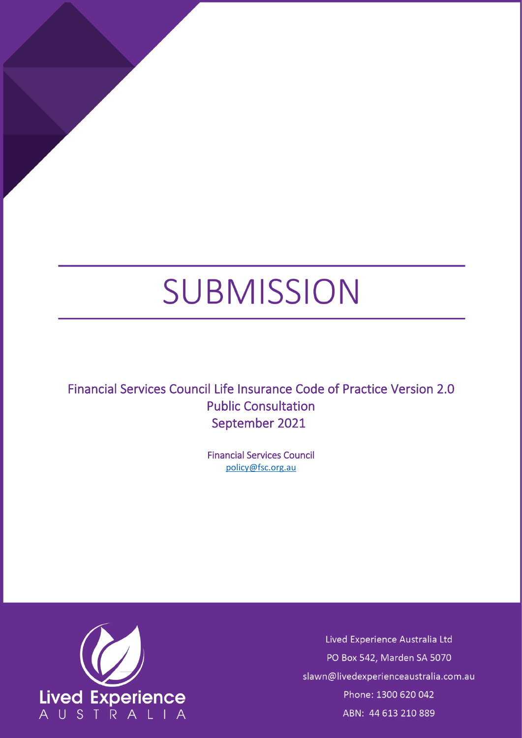# SUBMISSION

Financial Services Council Life Insurance Code of Practice Version 2.0 Public Consultation September 2021

> Financial Services Council [policy@fsc.org.au](mailto:policy@fsc.org.au)



Lived Experience Australia Ltd PO Box 542, Marden SA 5070 slawn@livedexperienceaustralia.com.au Phone: 1300 620 042 ABN: 44 613 210 889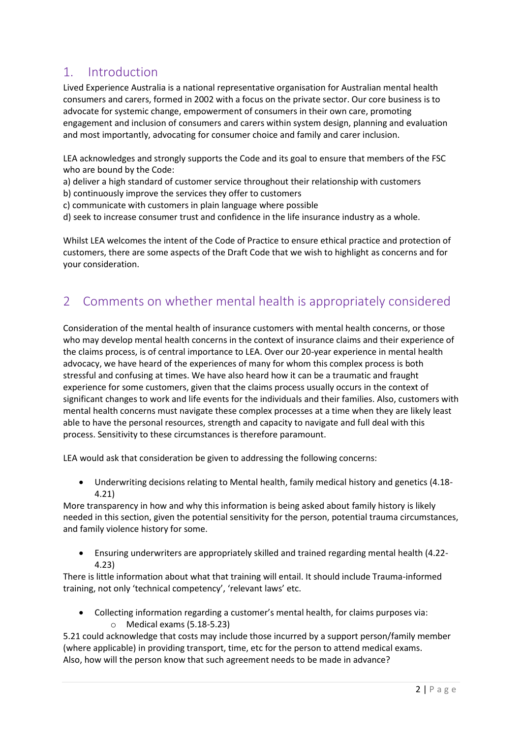## 1. Introduction

Lived Experience Australia is a national representative organisation for Australian mental health consumers and carers, formed in 2002 with a focus on the private sector. Our core business is to advocate for systemic change, empowerment of consumers in their own care, promoting engagement and inclusion of consumers and carers within system design, planning and evaluation and most importantly, advocating for consumer choice and family and carer inclusion.

LEA acknowledges and strongly supports the Code and its goal to ensure that members of the FSC who are bound by the Code:

a) deliver a high standard of customer service throughout their relationship with customers

b) continuously improve the services they offer to customers

c) communicate with customers in plain language where possible

d) seek to increase consumer trust and confidence in the life insurance industry as a whole.

Whilst LEA welcomes the intent of the Code of Practice to ensure ethical practice and protection of customers, there are some aspects of the Draft Code that we wish to highlight as concerns and for your consideration.

## 2 Comments on whether mental health is appropriately considered

Consideration of the mental health of insurance customers with mental health concerns, or those who may develop mental health concerns in the context of insurance claims and their experience of the claims process, is of central importance to LEA. Over our 20-year experience in mental health advocacy, we have heard of the experiences of many for whom this complex process is both stressful and confusing at times. We have also heard how it can be a traumatic and fraught experience for some customers, given that the claims process usually occurs in the context of significant changes to work and life events for the individuals and their families. Also, customers with mental health concerns must navigate these complex processes at a time when they are likely least able to have the personal resources, strength and capacity to navigate and full deal with this process. Sensitivity to these circumstances is therefore paramount.

LEA would ask that consideration be given to addressing the following concerns:

• Underwriting decisions relating to Mental health, family medical history and genetics (4.18- 4.21)

More transparency in how and why this information is being asked about family history is likely needed in this section, given the potential sensitivity for the person, potential trauma circumstances, and family violence history for some.

• Ensuring underwriters are appropriately skilled and trained regarding mental health (4.22- 4.23)

There is little information about what that training will entail. It should include Trauma-informed training, not only 'technical competency', 'relevant laws' etc.

• Collecting information regarding a customer's mental health, for claims purposes via: o Medical exams (5.18-5.23)

5.21 could acknowledge that costs may include those incurred by a support person/family member (where applicable) in providing transport, time, etc for the person to attend medical exams. Also, how will the person know that such agreement needs to be made in advance?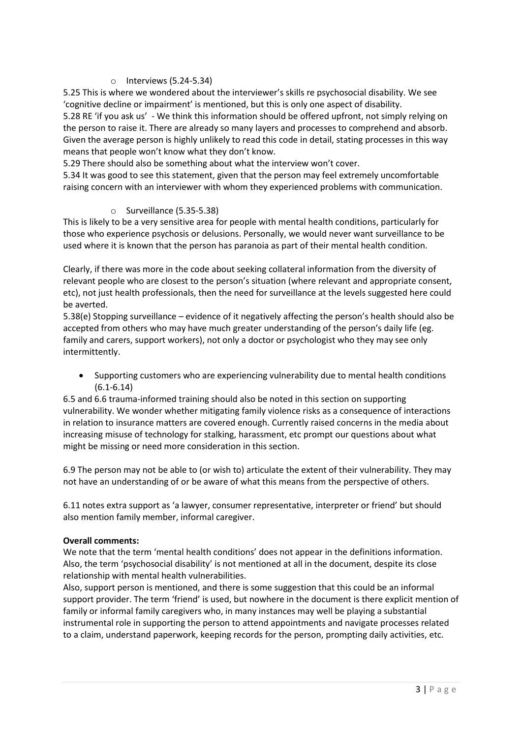#### $\circ$  Interviews (5.24-5.34)

5.25 This is where we wondered about the interviewer's skills re psychosocial disability. We see 'cognitive decline or impairment' is mentioned, but this is only one aspect of disability. 5.28 RE 'if you ask us' - We think this information should be offered upfront, not simply relying on the person to raise it. There are already so many layers and processes to comprehend and absorb. Given the average person is highly unlikely to read this code in detail, stating processes in this way means that people won't know what they don't know.

5.29 There should also be something about what the interview won't cover.

5.34 It was good to see this statement, given that the person may feel extremely uncomfortable raising concern with an interviewer with whom they experienced problems with communication.

#### o Surveillance (5.35-5.38)

This is likely to be a very sensitive area for people with mental health conditions, particularly for those who experience psychosis or delusions. Personally, we would never want surveillance to be used where it is known that the person has paranoia as part of their mental health condition.

Clearly, if there was more in the code about seeking collateral information from the diversity of relevant people who are closest to the person's situation (where relevant and appropriate consent, etc), not just health professionals, then the need for surveillance at the levels suggested here could be averted.

5.38(e) Stopping surveillance – evidence of it negatively affecting the person's health should also be accepted from others who may have much greater understanding of the person's daily life (eg. family and carers, support workers), not only a doctor or psychologist who they may see only intermittently.

• Supporting customers who are experiencing vulnerability due to mental health conditions (6.1-6.14)

6.5 and 6.6 trauma-informed training should also be noted in this section on supporting vulnerability. We wonder whether mitigating family violence risks as a consequence of interactions in relation to insurance matters are covered enough. Currently raised concerns in the media about increasing misuse of technology for stalking, harassment, etc prompt our questions about what might be missing or need more consideration in this section.

6.9 The person may not be able to (or wish to) articulate the extent of their vulnerability. They may not have an understanding of or be aware of what this means from the perspective of others.

6.11 notes extra support as 'a lawyer, consumer representative, interpreter or friend' but should also mention family member, informal caregiver.

#### **Overall comments:**

We note that the term 'mental health conditions' does not appear in the definitions information. Also, the term 'psychosocial disability' is not mentioned at all in the document, despite its close relationship with mental health vulnerabilities.

Also, support person is mentioned, and there is some suggestion that this could be an informal support provider. The term 'friend' is used, but nowhere in the document is there explicit mention of family or informal family caregivers who, in many instances may well be playing a substantial instrumental role in supporting the person to attend appointments and navigate processes related to a claim, understand paperwork, keeping records for the person, prompting daily activities, etc.